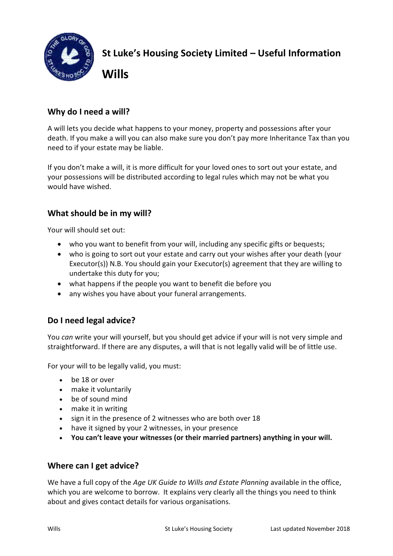

**St Luke's Housing Society Limited – Useful Information** 

# **Why do I need a will?**

**Wills**

A will lets you decide what happens to your money, property and possessions after your death. If you make a will you can also make sure you don't pay more Inheritance Tax than you need to if your estate may be liable.

If you don't make a will, it is more difficult for your loved ones to sort out your estate, and your possessions will be distributed according to legal rules which may not be what you would have wished.

### **What should be in my will?**

Your will should set out:

- who you want to benefit from your will, including any specific gifts or bequests;
- who is going to sort out your estate and carry out your wishes after your death (your Executor(s)) N.B. You should gain your Executor(s) agreement that they are willing to undertake this duty for you;
- what happens if the people you want to benefit die before you
- any wishes you have about your funeral arrangements.

## **Do I need legal advice?**

You *can* write your will yourself, but you should get advice if your will is not very simple and straightforward. If there are any disputes, a will that is not legally valid will be of little use.

For your will to be legally valid, you must:

- be 18 or over
- make it voluntarily
- be of sound mind
- make it in writing
- sign it in the presence of 2 witnesses who are both over 18
- have it signed by your 2 witnesses, in your presence
- **You can't leave your witnesses (or their married partners) anything in your will.**

#### **Where can I get advice?**

We have a full copy of the *Age UK Guide to Wills and Estate Planning* available in the office, which you are welcome to borrow. It explains very clearly all the things you need to think about and gives contact details for various organisations.